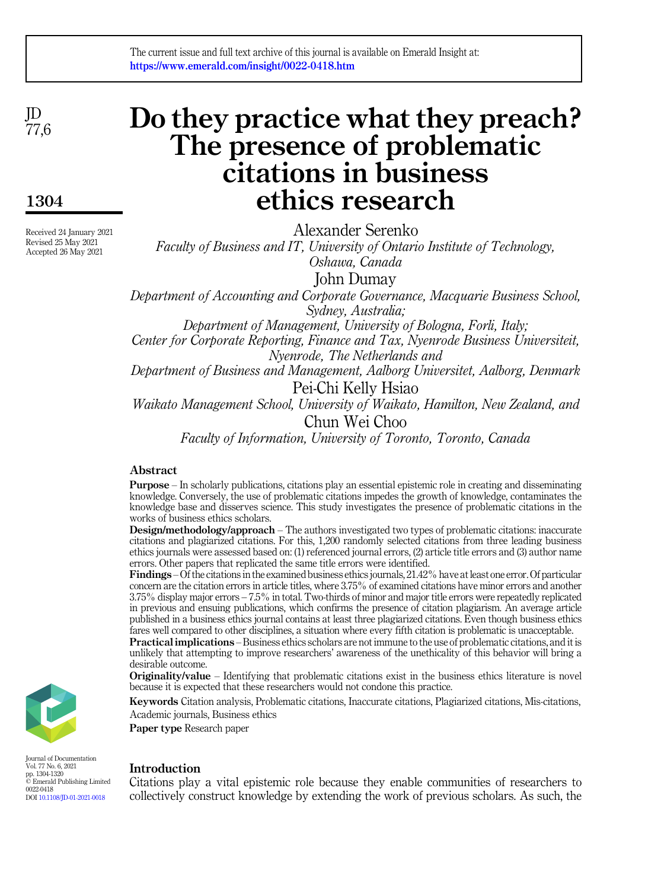JD 77,6

1304

Received 24 January 2021 Revised 25 May 2021 Accepted 26 May 2021

# Do they practice what they preach? The presence of problematic citations in business ethics research

Alexander Serenko

Faculty of Business and IT, University of Ontario Institute of Technology,

Oshawa, Canada

John Dumay

Department of Accounting and Corporate Governance, Macquarie Business School, Sydney, Australia;

Department of Management, University of Bologna, Forli, Italy;

Center for Corporate Reporting, Finance and Tax, Nyenrode Business Universiteit, Nyenrode, The Netherlands and

Department of Business and Management, Aalborg Universitet, Aalborg, Denmark Pei-Chi Kelly Hsiao

Waikato Management School, University of Waikato, Hamilton, New Zealand, and

Chun Wei Choo

Faculty of Information, University of Toronto, Toronto, Canada

# Abstract

Purpose – In scholarly publications, citations play an essential epistemic role in creating and disseminating knowledge. Conversely, the use of problematic citations impedes the growth of knowledge, contaminates the knowledge base and disserves science. This study investigates the presence of problematic citations in the works of business ethics scholars.

Design/methodology/approach – The authors investigated two types of problematic citations: inaccurate citations and plagiarized citations. For this, 1,200 randomly selected citations from three leading business ethics journals were assessed based on: (1) referenced journal errors, (2) article title errors and (3) author name errors. Other papers that replicated the same title errors were identified.

Findings –Of the citations in the examined business ethics journals, 21.42% have at least one error. Of particular concern are the citation errors in article titles, where 3.75% of examined citations have minor errors and another 3.75% display major errors – 7.5% in total. Two-thirds of minor and major title errors were repeatedly replicated in previous and ensuing publications, which confirms the presence of citation plagiarism. An average article published in a business ethics journal contains at least three plagiarized citations. Even though business ethics fares well compared to other disciplines, a situation where every fifth citation is problematic is unacceptable.

Practical implications – Business ethics scholars are not immune to the use of problematic citations, and it is unlikely that attempting to improve researchers' awareness of the unethicality of this behavior will bring a desirable outcome.

Originality/value – Identifying that problematic citations exist in the business ethics literature is novel because it is expected that these researchers would not condone this practice.

Keywords Citation analysis, Problematic citations, Inaccurate citations, Plagiarized citations, Mis-citations, Academic journals, Business ethics

Paper type Research paper

# Introduction

Citations play a vital epistemic role because they enable communities of researchers to collectively construct knowledge by extending the work of previous scholars. As such, the



Journal of Documentation Vol. 77 No. 6, 2021 pp. 1304-1320 © Emerald Publishing Limited 0022-0418 DOI [10.1108/JD-01-2021-0018](https://doi.org/10.1108/JD-01-2021-0018)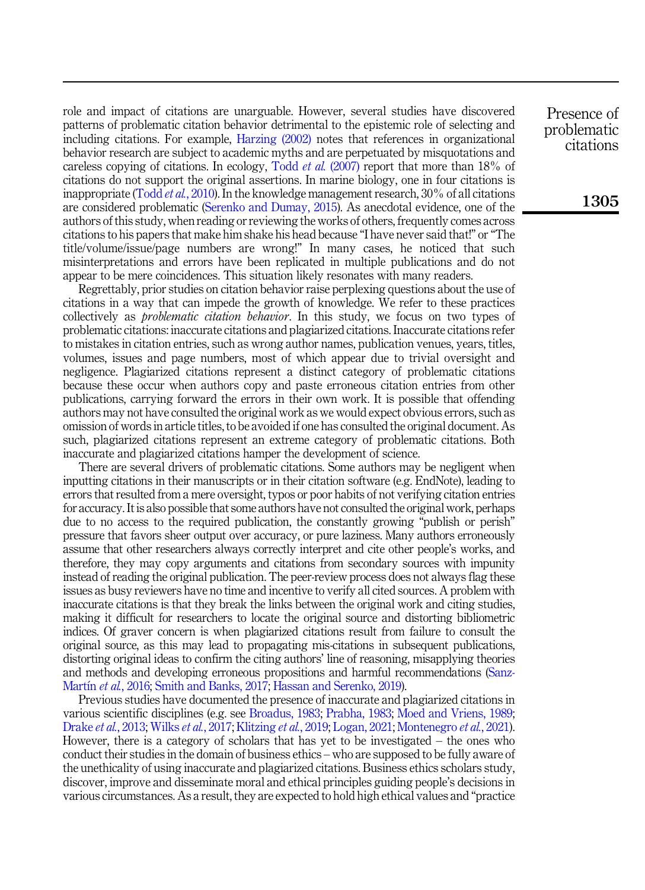role and impact of citations are unarguable. However, several studies have discovered patterns of problematic citation behavior detrimental to the epistemic role of selecting and including citations. For example, [Harzing \(2002\)](#page-13-0) notes that references in organizational behavior research are subject to academic myths and are perpetuated by misquotations and careless copying of citations. In ecology, Todd *et al.* [\(2007\)](#page-16-0) report that more than 18% of citations do not support the original assertions. In marine biology, one in four citations is inappropriate (Todd *et al.*[, 2010](#page-16-1)). In the knowledge management research, 30% of all citations are considered problematic ([Serenko and Dumay, 2015\)](#page-15-0). As anecdotal evidence, one of the authors of this study, when reading or reviewing the works of others, frequently comes across citations to his papers that make him shake his head because "I have never said that!" or"The title/volume/issue/page numbers are wrong!" In many cases, he noticed that such misinterpretations and errors have been replicated in multiple publications and do not appear to be mere coincidences. This situation likely resonates with many readers.

Regrettably, prior studies on citation behavior raise perplexing questions about the use of citations in a way that can impede the growth of knowledge. We refer to these practices collectively as problematic citation behavior. In this study, we focus on two types of problematic citations: inaccurate citations and plagiarized citations. Inaccurate citations refer to mistakes in citation entries, such as wrong author names, publication venues, years, titles, volumes, issues and page numbers, most of which appear due to trivial oversight and negligence. Plagiarized citations represent a distinct category of problematic citations because these occur when authors copy and paste erroneous citation entries from other publications, carrying forward the errors in their own work. It is possible that offending authors may not have consulted the original work as we would expect obvious errors, such as omission of words in article titles, to be avoided if one has consulted the original document. As such, plagiarized citations represent an extreme category of problematic citations. Both inaccurate and plagiarized citations hamper the development of science.

There are several drivers of problematic citations. Some authors may be negligent when inputting citations in their manuscripts or in their citation software (e.g. EndNote), leading to errors that resulted from a mere oversight, typos or poor habits of not verifying citation entries for accuracy. It is also possible that some authors have not consulted the original work, perhaps due to no access to the required publication, the constantly growing "publish or perish" pressure that favors sheer output over accuracy, or pure laziness. Many authors erroneously assume that other researchers always correctly interpret and cite other people's works, and therefore, they may copy arguments and citations from secondary sources with impunity instead of reading the original publication. The peer-review process does not always flag these issues as busy reviewers have no time and incentive to verify all cited sources. A problem with inaccurate citations is that they break the links between the original work and citing studies, making it difficult for researchers to locate the original source and distorting bibliometric indices. Of graver concern is when plagiarized citations result from failure to consult the original source, as this may lead to propagating mis-citations in subsequent publications, distorting original ideas to confirm the citing authors' line of reasoning, misapplying theories and methods and developing erroneous propositions and harmful recommendations ([Sanz-](#page-15-1)[Mart](#page-15-1)ín et al.[, 2016;](#page-15-1) [Smith and Banks, 2017](#page-15-2); [Hassan and Serenko, 2019](#page-13-1)).

Previous studies have documented the presence of inaccurate and plagiarized citations in various scientific disciplines (e.g. see [Broadus, 1983](#page-11-0); [Prabha, 1983;](#page-14-0) [Moed and Vriens, 1989](#page-14-1); [Drake](#page-12-0) et al., 2013; [Wilks](#page-16-2) et al., 2017; [Klitzing](#page-13-2) et al., 2019; [Logan, 2021](#page-13-3); [Montenegro](#page-14-2) et al., 2021). However, there is a category of scholars that has yet to be investigated – the ones who conduct their studies in the domain of business ethics – who are supposed to be fully aware of the unethicality of using inaccurate and plagiarized citations. Business ethics scholars study, discover, improve and disseminate moral and ethical principles guiding people's decisions in various circumstances. As a result, they are expected to hold high ethical values and "practice

Presence of problematic citations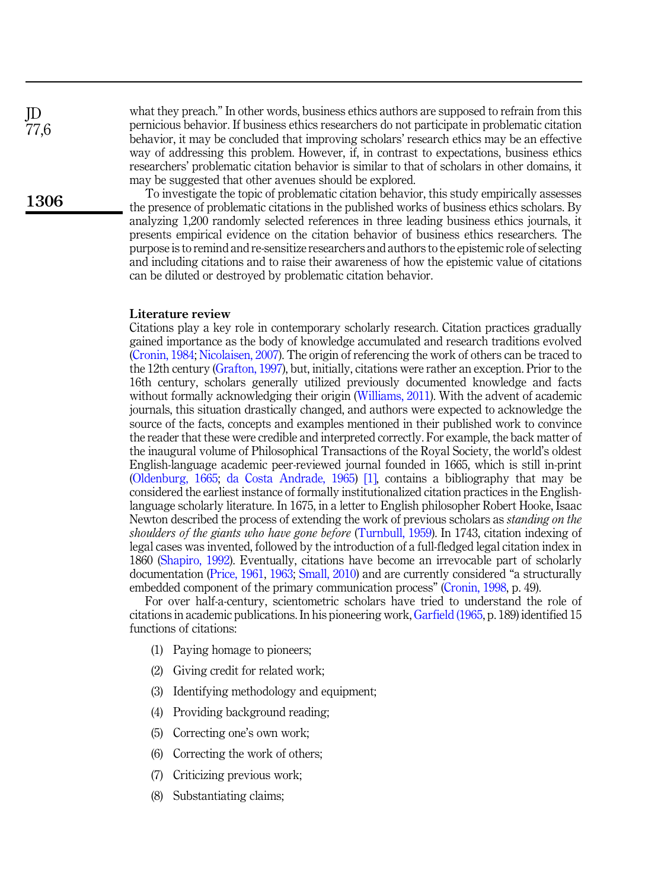what they preach." In other words, business ethics authors are supposed to refrain from this pernicious behavior. If business ethics researchers do not participate in problematic citation behavior, it may be concluded that improving scholars' research ethics may be an effective way of addressing this problem. However, if, in contrast to expectations, business ethics researchers' problematic citation behavior is similar to that of scholars in other domains, it may be suggested that other avenues should be explored.

To investigate the topic of problematic citation behavior, this study empirically assesses the presence of problematic citations in the published works of business ethics scholars. By analyzing 1,200 randomly selected references in three leading business ethics journals, it presents empirical evidence on the citation behavior of business ethics researchers. The purpose is to remind and re-sensitize researchers and authors to the epistemic role of selecting and including citations and to raise their awareness of how the epistemic value of citations can be diluted or destroyed by problematic citation behavior.

## Literature review

Citations play a key role in contemporary scholarly research. Citation practices gradually gained importance as the body of knowledge accumulated and research traditions evolved ([Cronin, 1984;](#page-12-1) [Nicolaisen, 2007](#page-14-3)). The origin of referencing the work of others can be traced to the 12th century [\(Grafton, 1997](#page-13-4)), but, initially, citations were rather an exception. Prior to the 16th century, scholars generally utilized previously documented knowledge and facts without formally acknowledging their origin [\(Williams, 2011](#page-16-3)). With the advent of academic journals, this situation drastically changed, and authors were expected to acknowledge the source of the facts, concepts and examples mentioned in their published work to convince the reader that these were credible and interpreted correctly. For example, the back matter of the inaugural volume of Philosophical Transactions of the Royal Society, the world's oldest English-language academic peer-reviewed journal founded in 1665, which is still in-print ([Oldenburg, 1665;](#page-14-4) [da Costa Andrade, 1965\)](#page-12-2) [\[1\],](#page-11-1) contains a bibliography that may be considered the earliest instance of formally institutionalized citation practices in the Englishlanguage scholarly literature. In 1675, in a letter to English philosopher Robert Hooke, Isaac Newton described the process of extending the work of previous scholars as *standing on the* shoulders of the giants who have gone before ([Turnbull, 1959](#page-16-4)). In 1743, citation indexing of legal cases was invented, followed by the introduction of a full-fledged legal citation index in 1860 [\(Shapiro, 1992\)](#page-15-3). Eventually, citations have become an irrevocable part of scholarly documentation ([Price, 1961](#page-14-5), [1963](#page-14-6); [Small, 2010](#page-15-4)) and are currently considered "a structurally embedded component of the primary communication process" ([Cronin, 1998](#page-12-3), p. 49).

For over half-a-century, scientometric scholars have tried to understand the role of citations in academic publications. In his pioneering work, [Garfield \(1965](#page-12-4), p. 189) identified 15 functions of citations:

- (1) Paying homage to pioneers;
- (2) Giving credit for related work;
- (3) Identifying methodology and equipment;
- (4) Providing background reading;
- (5) Correcting one's own work;
- (6) Correcting the work of others;
- (7) Criticizing previous work;
- (8) Substantiating claims;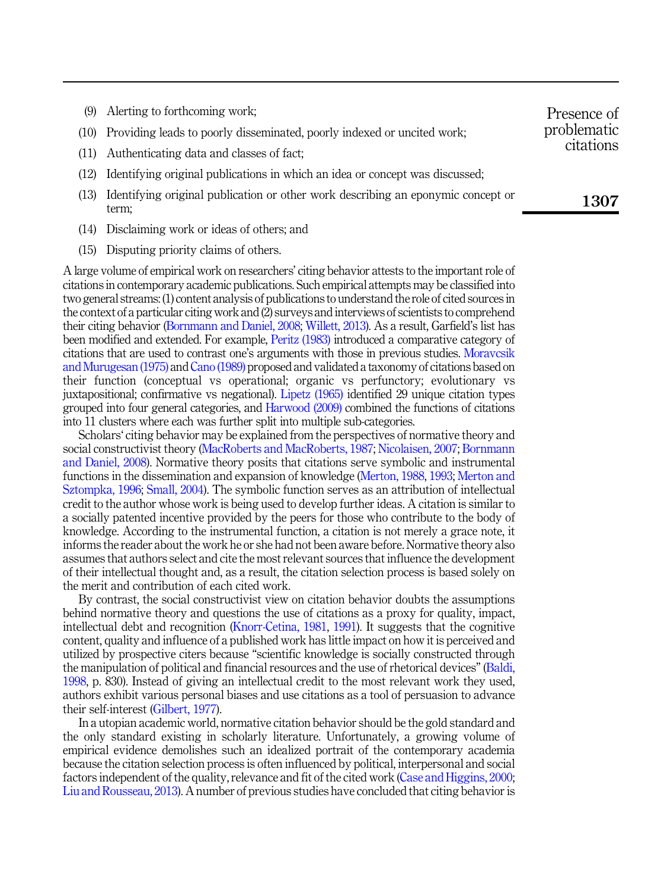|      | (9) Alerting to forthcoming work;                                                      | Presence of |
|------|----------------------------------------------------------------------------------------|-------------|
| (10) | problematic<br>Providing leads to poorly disseminated, poorly indexed or uncited work; |             |
| (11) | Authenticating data and classes of fact;                                               | citations   |
| (12) | Identifying original publications in which an idea or concept was discussed;           |             |
| (13) | Identifying original publication or other work describing an eponymic concept or       | 1307        |

- (14) Disclaiming work or ideas of others; and
- (15) Disputing priority claims of others.

term;

A large volume of empirical work on researchers' citing behavior attests to the important role of citations in contemporary academic publications. Such empirical attempts may be classified into two general streams: (1) content analysis of publications to understand the role of cited sources in the context of a particular citing work and (2) surveys and interviews of scientists to comprehend their citing behavior [\(Bornmann and Daniel, 2008;](#page-11-2) [Willett, 2013\)](#page-16-5). As a result, Garfield's list has been modified and extended. For example, [Peritz \(1983\)](#page-14-7) introduced a comparative category of citations that are used to contrast one's arguments with those in previous studies. [Moravcsik](#page-14-8) [and Murugesan \(1975\)](#page-14-8) and [Cano \(1989\)](#page-12-5) proposed and validated a taxonomy of citations based on their function (conceptual vs operational; organic vs perfunctory; evolutionary vs juxtapositional; confirmative vs negational). [Lipetz \(1965\)](#page-13-5) identified 29 unique citation types grouped into four general categories, and [Harwood \(2009\)](#page-13-6) combined the functions of citations into 11 clusters where each was further split into multiple sub-categories.

Scholars' citing behavior may be explained from the perspectives of normative theory and social constructivist theory [\(MacRoberts and MacRoberts, 1987;](#page-14-9) [Nicolaisen, 2007;](#page-14-3) [Bornmann](#page-11-2) [and Daniel, 2008](#page-11-2)). Normative theory posits that citations serve symbolic and instrumental functions in the dissemination and expansion of knowledge ([Merton, 1988,](#page-14-10) [1993](#page-14-11); [Merton and](#page-14-12) [Sztompka, 1996](#page-14-12); [Small, 2004\)](#page-15-5). The symbolic function serves as an attribution of intellectual credit to the author whose work is being used to develop further ideas. A citation is similar to a socially patented incentive provided by the peers for those who contribute to the body of knowledge. According to the instrumental function, a citation is not merely a grace note, it informs the reader about the work he or she had not been aware before. Normative theory also assumes that authors select and cite the most relevant sources that influence the development of their intellectual thought and, as a result, the citation selection process is based solely on the merit and contribution of each cited work.

By contrast, the social constructivist view on citation behavior doubts the assumptions behind normative theory and questions the use of citations as a proxy for quality, impact, intellectual debt and recognition [\(Knorr-Cetina, 1981](#page-13-7), [1991\)](#page-13-8). It suggests that the cognitive content, quality and influence of a published work has little impact on how it is perceived and utilized by prospective citers because "scientific knowledge is socially constructed through the manipulation of political and financial resources and the use of rhetorical devices" [\(Baldi,](#page-11-3) [1998,](#page-11-3) p. 830). Instead of giving an intellectual credit to the most relevant work they used, authors exhibit various personal biases and use citations as a tool of persuasion to advance their self-interest [\(Gilbert, 1977\)](#page-13-9).

In a utopian academic world, normative citation behavior should be the gold standard and the only standard existing in scholarly literature. Unfortunately, a growing volume of empirical evidence demolishes such an idealized portrait of the contemporary academia because the citation selection process is often influenced by political, interpersonal and social factors independent of the quality, relevance and fit of the cited work ([Case and Higgins, 2000](#page-12-6); [Liu and Rousseau, 2013\)](#page-13-10). A number of previous studies have concluded that citing behavior is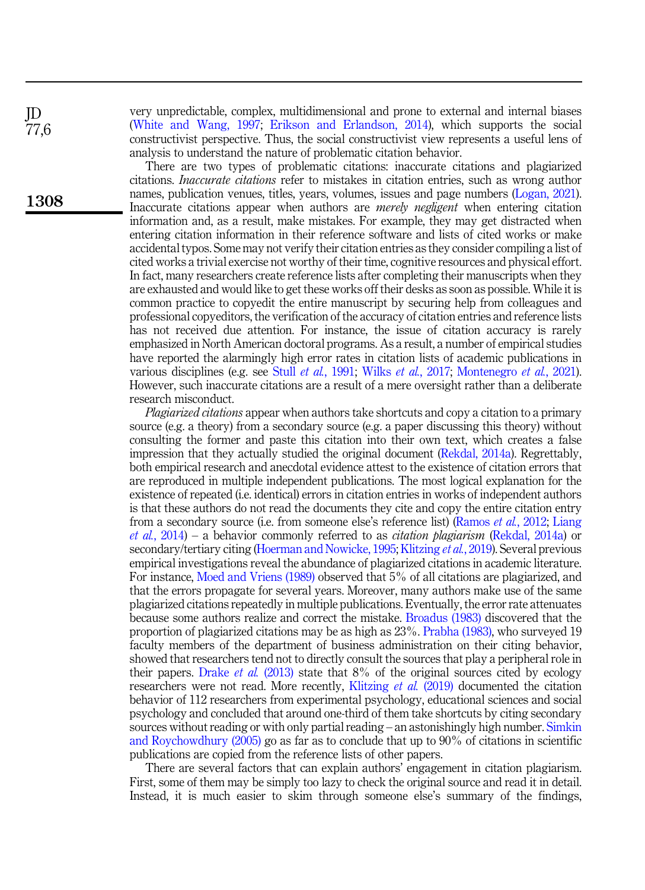very unpredictable, complex, multidimensional and prone to external and internal biases ([White and Wang, 1997](#page-16-6); [Erikson and Erlandson, 2014\)](#page-12-7), which supports the social constructivist perspective. Thus, the social constructivist view represents a useful lens of analysis to understand the nature of problematic citation behavior.

There are two types of problematic citations: inaccurate citations and plagiarized citations. Inaccurate citations refer to mistakes in citation entries, such as wrong author names, publication venues, titles, years, volumes, issues and page numbers [\(Logan, 2021\)](#page-13-3). Inaccurate citations appear when authors are merely negligent when entering citation information and, as a result, make mistakes. For example, they may get distracted when entering citation information in their reference software and lists of cited works or make accidental typos. Some may not verify their citation entries as they consider compiling a list of cited works a trivial exercise not worthy of their time, cognitive resources and physical effort. In fact, many researchers create reference lists after completing their manuscripts when they are exhausted and would like to get these works off their desks as soon as possible. While it is common practice to copyedit the entire manuscript by securing help from colleagues and professional copyeditors, the verification of the accuracy of citation entries and reference lists has not received due attention. For instance, the issue of citation accuracy is rarely emphasized in North American doctoral programs. As a result, a number of empirical studies have reported the alarmingly high error rates in citation lists of academic publications in various disciplines (e.g. see Stull et al.[, 1991](#page-15-6); Wilks et al.[, 2017](#page-16-2); [Montenegro](#page-14-2) et al., 2021). However, such inaccurate citations are a result of a mere oversight rather than a deliberate research misconduct.

Plagiarized citations appear when authors take shortcuts and copy a citation to a primary source (e.g. a theory) from a secondary source (e.g. a paper discussing this theory) without consulting the former and paste this citation into their own text, which creates a false impression that they actually studied the original document [\(Rekdal, 2014a](#page-15-7)). Regrettably, both empirical research and anecdotal evidence attest to the existence of citation errors that are reproduced in multiple independent publications. The most logical explanation for the existence of repeated (i.e. identical) errors in citation entries in works of independent authors is that these authors do not read the documents they cite and copy the entire citation entry from a secondary source (i.e. from someone else's reference list) ([Ramos](#page-14-13) *et al.*, 2012; [Liang](#page-13-11) *et al.*[, 2014\)](#page-13-11) – a behavior commonly referred to as *citation plagiarism* [\(Rekdal, 2014a](#page-15-7)) or secondary/tertiary citing [\(Hoerman and Nowicke, 1995](#page-13-12); [Klitzing](#page-13-2) *et al.*, 2019). Several previous empirical investigations reveal the abundance of plagiarized citations in academic literature. For instance, [Moed and Vriens \(1989\)](#page-14-1) observed that 5% of all citations are plagiarized, and that the errors propagate for several years. Moreover, many authors make use of the same plagiarized citations repeatedly in multiple publications. Eventually, the error rate attenuates because some authors realize and correct the mistake. [Broadus \(1983\)](#page-11-0) discovered that the proportion of plagiarized citations may be as high as 23%. [Prabha \(1983\)](#page-14-0), who surveyed 19 faculty members of the department of business administration on their citing behavior, showed that researchers tend not to directly consult the sources that play a peripheral role in their papers. [Drake](#page-12-0) *et al.* (2013) state that  $8\%$  of the original sources cited by ecology researchers were not read. More recently, [Klitzing](#page-13-2) et al. (2019) documented the citation behavior of 112 researchers from experimental psychology, educational sciences and social psychology and concluded that around one-third of them take shortcuts by citing secondary sources without reading or with only partial reading – an astonishingly high number. [Simkin](#page-15-8) [and Roychowdhury \(2005\)](#page-15-8) go as far as to conclude that up to 90% of citations in scientific publications are copied from the reference lists of other papers.

There are several factors that can explain authors' engagement in citation plagiarism. First, some of them may be simply too lazy to check the original source and read it in detail. Instead, it is much easier to skim through someone else's summary of the findings,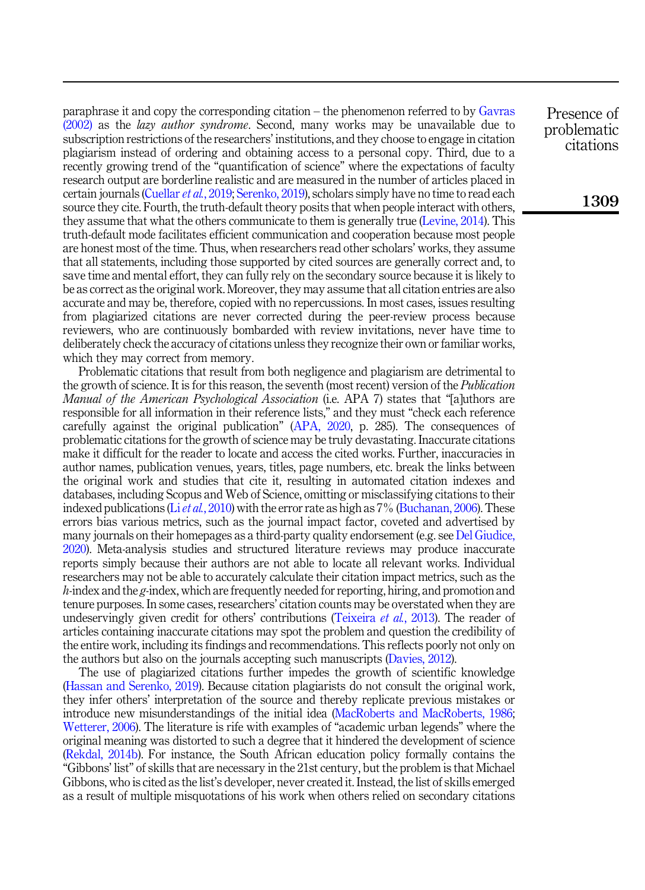paraphrase it and copy the corresponding citation – the phenomenon referred to by [Gavras](#page-13-13) [\(2002\)](#page-13-13) as the lazy author syndrome. Second, many works may be unavailable due to subscription restrictions of the researchers' institutions, and they choose to engage in citation plagiarism instead of ordering and obtaining access to a personal copy. Third, due to a recently growing trend of the "quantification of science" where the expectations of faculty research output are borderline realistic and are measured in the number of articles placed in certain journals ([Cuellar](#page-12-8) et al., 2019; [Serenko, 2019](#page-15-9)), scholars simply have no time to read each source they cite. Fourth, the truth-default theory posits that when people interact with others, they assume that what the others communicate to them is generally true [\(Levine, 2014](#page-13-14)). This truth-default mode facilitates efficient communication and cooperation because most people are honest most of the time. Thus, when researchers read other scholars' works, they assume that all statements, including those supported by cited sources are generally correct and, to save time and mental effort, they can fully rely on the secondary source because it is likely to be as correct as the original work. Moreover, they may assume that all citation entries are also accurate and may be, therefore, copied with no repercussions. In most cases, issues resulting from plagiarized citations are never corrected during the peer-review process because reviewers, who are continuously bombarded with review invitations, never have time to deliberately check the accuracy of citations unless they recognize their own or familiar works, which they may correct from memory.

Problematic citations that result from both negligence and plagiarism are detrimental to the growth of science. It is for this reason, the seventh (most recent) version of the *Publication* Manual of the American Psychological Association (i.e. APA 7) states that "faluthors are responsible for all information in their reference lists," and they must "check each reference carefully against the original publication" [\(APA, 2020](#page-11-4), p. 285). The consequences of problematic citations for the growth of science may be truly devastating. Inaccurate citations make it difficult for the reader to locate and access the cited works. Further, inaccuracies in author names, publication venues, years, titles, page numbers, etc. break the links between the original work and studies that cite it, resulting in automated citation indexes and databases, including Scopus and Web of Science, omitting or misclassifying citations to their indexed publications (Liet al.[, 2010](#page-13-15)) with the error rate as high as  $7\%$  ([Buchanan, 2006](#page-11-5)). These errors bias various metrics, such as the journal impact factor, coveted and advertised by many journals on their homepages as a third-party quality endorsement (e.g. see [Del Giudice,](#page-12-9) [2020\)](#page-12-9). Meta-analysis studies and structured literature reviews may produce inaccurate reports simply because their authors are not able to locate all relevant works. Individual researchers may not be able to accurately calculate their citation impact metrics, such as the h-index and the g-index, which are frequently needed for reporting, hiring, and promotion and tenure purposes. In some cases, researchers' citation counts may be overstated when they are undeservingly given credit for others' contributions ([Teixeira](#page-15-10) *et al.*, 2013). The reader of articles containing inaccurate citations may spot the problem and question the credibility of the entire work, including its findings and recommendations. This reflects poorly not only on the authors but also on the journals accepting such manuscripts [\(Davies, 2012](#page-12-10)).

The use of plagiarized citations further impedes the growth of scientific knowledge ([Hassan and Serenko, 2019\)](#page-13-1). Because citation plagiarists do not consult the original work, they infer others' interpretation of the source and thereby replicate previous mistakes or introduce new misunderstandings of the initial idea [\(MacRoberts and MacRoberts, 1986](#page-14-14); [Wetterer, 2006\)](#page-16-7). The literature is rife with examples of "academic urban legends" where the original meaning was distorted to such a degree that it hindered the development of science ([Rekdal, 2014b\)](#page-15-11). For instance, the South African education policy formally contains the "Gibbons' list" of skills that are necessary in the 21st century, but the problem is that Michael Gibbons, who is cited as the list's developer, never created it. Instead, the list of skills emerged as a result of multiple misquotations of his work when others relied on secondary citations

Presence of problematic citations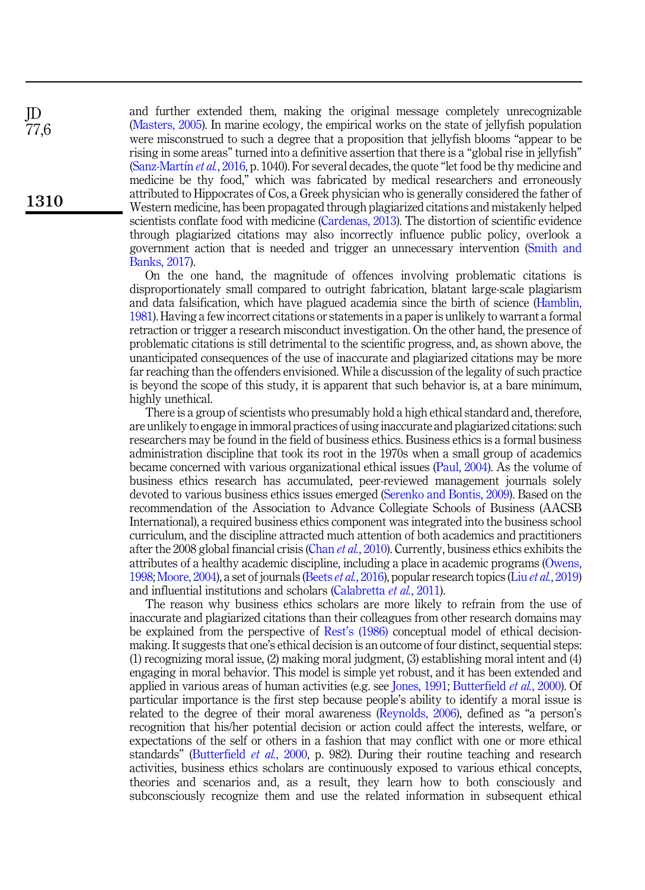and further extended them, making the original message completely unrecognizable ([Masters, 2005](#page-14-15)). In marine ecology, the empirical works on the state of jellyfish population were misconstrued to such a degree that a proposition that jellyfish blooms "appear to be rising in some areas" turned into a definitive assertion that there is a "global rise in jellyfish" ([Sanz-Mart](#page-15-1)ín *et al.*[, 2016,](#page-15-1) p. 1040). For several decades, the quote "let food be thy medicine and medicine be thy food," which was fabricated by medical researchers and erroneously attributed to Hippocrates of Cos, a Greek physician who is generally considered the father of Western medicine, has been propagated through plagiarized citations and mistakenly helped scientists conflate food with medicine ([Cardenas, 2013](#page-12-11)). The distortion of scientific evidence through plagiarized citations may also incorrectly influence public policy, overlook a government action that is needed and trigger an unnecessary intervention [\(Smith and](#page-15-2) [Banks, 2017](#page-15-2)).

On the one hand, the magnitude of offences involving problematic citations is disproportionately small compared to outright fabrication, blatant large-scale plagiarism and data falsification, which have plagued academia since the birth of science ([Hamblin,](#page-13-16) [1981\)](#page-13-16). Having a few incorrect citations or statements in a paper is unlikely to warrant a formal retraction or trigger a research misconduct investigation. On the other hand, the presence of problematic citations is still detrimental to the scientific progress, and, as shown above, the unanticipated consequences of the use of inaccurate and plagiarized citations may be more far reaching than the offenders envisioned. While a discussion of the legality of such practice is beyond the scope of this study, it is apparent that such behavior is, at a bare minimum, highly unethical.

There is a group of scientists who presumably hold a high ethical standard and, therefore, are unlikely to engage in immoral practices of using inaccurate and plagiarized citations: such researchers may be found in the field of business ethics. Business ethics is a formal business administration discipline that took its root in the 1970s when a small group of academics became concerned with various organizational ethical issues ([Paul, 2004](#page-14-16)). As the volume of business ethics research has accumulated, peer-reviewed management journals solely devoted to various business ethics issues emerged ([Serenko and Bontis, 2009\)](#page-15-12). Based on the recommendation of the Association to Advance Collegiate Schools of Business (AACSB International), a required business ethics component was integrated into the business school curriculum, and the discipline attracted much attention of both academics and practitioners after the 2008 global financial crisis (Chan *et al.*[, 2010](#page-12-12)). Currently, business ethics exhibits the attributes of a healthy academic discipline, including a place in academic programs [\(Owens,](#page-14-17) [1998;](#page-14-17) [Moore, 2004\)](#page-14-18), a set of journals (Beets et al.[, 2016\)](#page-11-6), popular research topics (Liu et al.[, 2019\)](#page-13-17) and influential institutions and scholars [\(Calabretta](#page-12-13) et al., 2011).

The reason why business ethics scholars are more likely to refrain from the use of inaccurate and plagiarized citations than their colleagues from other research domains may be explained from the perspective of Rest'[s \(1986\)](#page-15-13) conceptual model of ethical decisionmaking. It suggests that one's ethical decision is an outcome of four distinct, sequential steps: (1) recognizing moral issue, (2) making moral judgment, (3) establishing moral intent and (4) engaging in moral behavior. This model is simple yet robust, and it has been extended and applied in various areas of human activities (e.g. see [Jones, 1991](#page-13-18); [Butterfield](#page-12-14) *et al.*, 2000). Of particular importance is the first step because people's ability to identify a moral issue is related to the degree of their moral awareness [\(Reynolds, 2006](#page-15-14)), defined as "a person's recognition that his/her potential decision or action could affect the interests, welfare, or expectations of the self or others in a fashion that may conflict with one or more ethical standards" [\(Butterfield](#page-12-14) et al., 2000, p. 982). During their routine teaching and research activities, business ethics scholars are continuously exposed to various ethical concepts, theories and scenarios and, as a result, they learn how to both consciously and subconsciously recognize them and use the related information in subsequent ethical

JD 77,6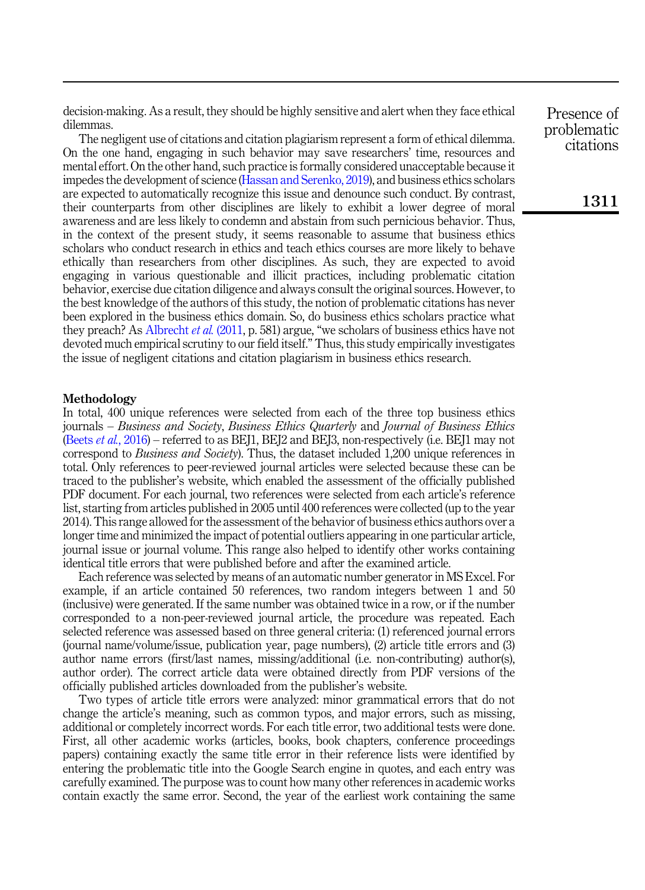decision-making. As a result, they should be highly sensitive and alert when they face ethical dilemmas.

The negligent use of citations and citation plagiarism represent a form of ethical dilemma. On the one hand, engaging in such behavior may save researchers' time, resources and mental effort. On the other hand, such practice is formally considered unacceptable because it impedes the development of science ([Hassan and Serenko, 2019](#page-13-1)), and business ethics scholars are expected to automatically recognize this issue and denounce such conduct. By contrast, their counterparts from other disciplines are likely to exhibit a lower degree of moral awareness and are less likely to condemn and abstain from such pernicious behavior. Thus, in the context of the present study, it seems reasonable to assume that business ethics scholars who conduct research in ethics and teach ethics courses are more likely to behave ethically than researchers from other disciplines. As such, they are expected to avoid engaging in various questionable and illicit practices, including problematic citation behavior, exercise due citation diligence and always consult the original sources. However, to the best knowledge of the authors of this study, the notion of problematic citations has never been explored in the business ethics domain. So, do business ethics scholars practice what they preach? As [Albrecht](#page-11-7) et al. (2011, p. 581) argue, "we scholars of business ethics have not devoted much empirical scrutiny to our field itself." Thus, this study empirically investigates the issue of negligent citations and citation plagiarism in business ethics research.

## Methodology

In total, 400 unique references were selected from each of the three top business ethics journals – Business and Society, Business Ethics Quarterly and Journal of Business Ethics (Beets et al.[, 2016\)](#page-11-6) – referred to as BEJ1, BEJ2 and BEJ3, non-respectively (i.e. BEJ1 may not correspond to Business and Society). Thus, the dataset included 1,200 unique references in total. Only references to peer-reviewed journal articles were selected because these can be traced to the publisher's website, which enabled the assessment of the officially published PDF document. For each journal, two references were selected from each article's reference list, starting from articles published in 2005 until 400 references were collected (up to the year 2014). This range allowed for the assessment of the behavior of business ethics authors over a longer time and minimized the impact of potential outliers appearing in one particular article, journal issue or journal volume. This range also helped to identify other works containing identical title errors that were published before and after the examined article.

Each reference was selected by means of an automatic number generator in MS Excel. For example, if an article contained 50 references, two random integers between 1 and 50 (inclusive) were generated. If the same number was obtained twice in a row, or if the number corresponded to a non-peer-reviewed journal article, the procedure was repeated. Each selected reference was assessed based on three general criteria: (1) referenced journal errors (journal name/volume/issue, publication year, page numbers), (2) article title errors and (3) author name errors (first/last names, missing/additional (i.e. non-contributing) author(s), author order). The correct article data were obtained directly from PDF versions of the officially published articles downloaded from the publisher's website.

Two types of article title errors were analyzed: minor grammatical errors that do not change the article's meaning, such as common typos, and major errors, such as missing, additional or completely incorrect words. For each title error, two additional tests were done. First, all other academic works (articles, books, book chapters, conference proceedings papers) containing exactly the same title error in their reference lists were identified by entering the problematic title into the Google Search engine in quotes, and each entry was carefully examined. The purpose was to count how many other references in academic works contain exactly the same error. Second, the year of the earliest work containing the same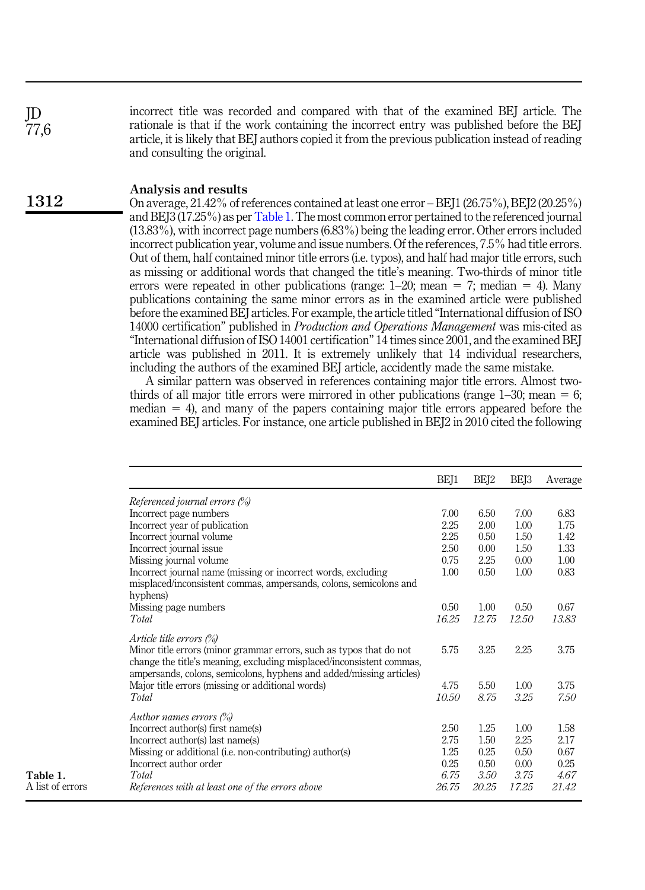incorrect title was recorded and compared with that of the examined BEJ article. The rationale is that if the work containing the incorrect entry was published before the BEJ article, it is likely that BEJ authors copied it from the previous publication instead of reading and consulting the original.

## Analysis and results

Table 1. A list of errors

JD 77,6

1312

On average, 21.42% of references contained at least one error – BEJ1 (26.75%), BEJ2 (20.25%) and BEJ3 (17.25%) as per Table 1. The most common error pertained to the referenced journal (13.83%), with incorrect page numbers (6.83%) being the leading error. Other errors included incorrect publication year, volume and issue numbers. Of the references, 7.5% had title errors. Out of them, half contained minor title errors (i.e. typos), and half had major title errors, such as missing or additional words that changed the title's meaning. Two-thirds of minor title errors were repeated in other publications (range:  $1-20$ ; mean  $= 7$ ; median  $= 4$ ). Many publications containing the same minor errors as in the examined article were published before the examined BEJ articles. For example, the article titled "International diffusion of ISO 14000 certification" published in Production and Operations Management was mis-cited as "International diffusion of ISO 14001 certification" 14 times since 2001, and the examined BEJ article was published in 2011. It is extremely unlikely that 14 individual researchers, including the authors of the examined BEJ article, accidently made the same mistake.

A similar pattern was observed in references containing major title errors. Almost twothirds of all major title errors were mirrored in other publications (range  $1-30$ ; mean  $= 6$ ; median  $= 4$ ), and many of the papers containing major title errors appeared before the examined BEJ articles. For instance, one article published in BEJ2 in 2010 cited the following

|                                                                                                                                                                                                                                                   | BEI1  | BE <sub>I2</sub> | BE <sub>13</sub> | Average |
|---------------------------------------------------------------------------------------------------------------------------------------------------------------------------------------------------------------------------------------------------|-------|------------------|------------------|---------|
| Referenced journal errors (%)                                                                                                                                                                                                                     |       |                  |                  |         |
| Incorrect page numbers                                                                                                                                                                                                                            | 7.00  | 6.50             | 7.00             | 6.83    |
| Incorrect year of publication                                                                                                                                                                                                                     | 2.25  | 2.00             | 1.00             | 1.75    |
| Incorrect journal volume                                                                                                                                                                                                                          | 2.25  | 0.50             | 1.50             | 1.42    |
| Incorrect journal issue                                                                                                                                                                                                                           | 2.50  | 0.00             | 1.50             | 1.33    |
| Missing journal volume                                                                                                                                                                                                                            | 0.75  | 2.25             | 0.00             | 1.00    |
| Incorrect journal name (missing or incorrect words, excluding                                                                                                                                                                                     | 1.00  | 0.50             | 1.00             | 0.83    |
| misplaced/inconsistent commas, ampersands, colons, semicolons and<br>hyphens)                                                                                                                                                                     |       |                  |                  |         |
| Missing page numbers                                                                                                                                                                                                                              | 0.50  | 1.00             | 0.50             | 0.67    |
| Total                                                                                                                                                                                                                                             | 16.25 | 12.75            | 12.50            | 13.83   |
| Article title errors $(\%)$<br>Minor title errors (minor grammar errors, such as typos that do not<br>change the title's meaning, excluding misplaced/inconsistent commas,<br>ampersands, colons, semicolons, hyphens and added/missing articles) | 5.75  | 3.25             | 2.25             | 3.75    |
| Major title errors (missing or additional words)                                                                                                                                                                                                  | 4.75  | 5.50             | 1.00             | 3.75    |
| Total                                                                                                                                                                                                                                             | 10.50 | 8.75             | 3.25             | 7.50    |
| Author names errors $(\%)$                                                                                                                                                                                                                        |       |                  |                  |         |
| Incorrect author(s) first name(s)                                                                                                                                                                                                                 | 2.50  | 1.25             | 1.00             | 1.58    |
| Incorrect author(s) last name(s)                                                                                                                                                                                                                  | 2.75  | 1.50             | 2.25             | 2.17    |
| Missing or additional (i.e. non-contributing) author(s)                                                                                                                                                                                           | 1.25  | 0.25             | 0.50             | 0.67    |
| Incorrect author order                                                                                                                                                                                                                            | 0.25  | 0.50             | 0.00             | 0.25    |
| Total                                                                                                                                                                                                                                             | 6.75  | 3.50             | 3.75             | 4.67    |
| References with at least one of the errors above                                                                                                                                                                                                  | 26.75 | 20.25            | 17.25            | 21.42   |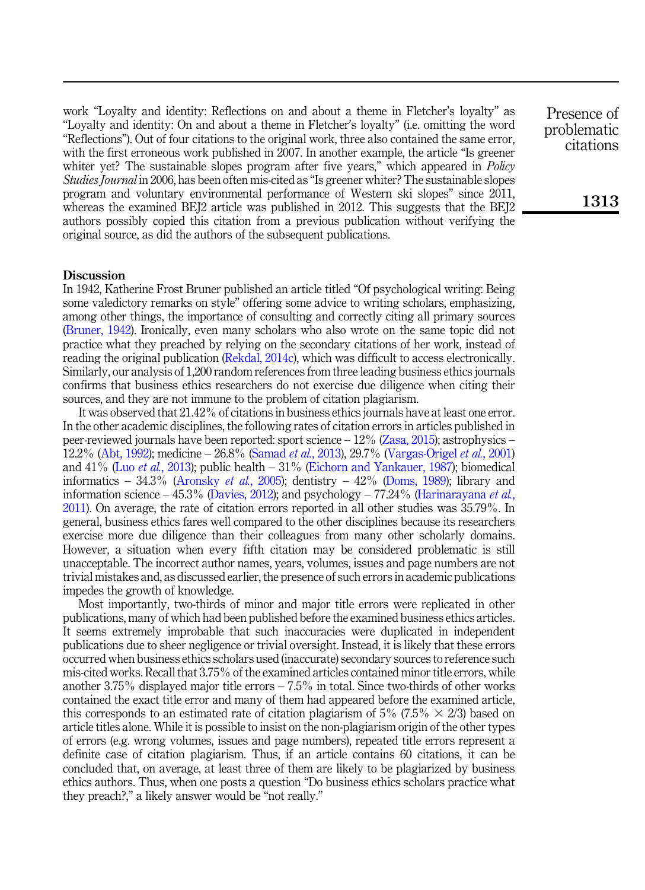work "Loyalty and identity: Reflections on and about a theme in Fletcher's loyalty" as "Loyalty and identity: On and about a theme in Fletcher's loyalty" (i.e. omitting the word "Reflections"). Out of four citations to the original work, three also contained the same error, with the first erroneous work published in 2007. In another example, the article "Is greener whiter yet? The sustainable slopes program after five years," which appeared in *Policy* Studies Journal in 2006, has been often mis-cited as "Is greener whiter? The sustainable slopes program and voluntary environmental performance of Western ski slopes" since 2011, whereas the examined BEJ2 article was published in 2012. This suggests that the BEJ2 authors possibly copied this citation from a previous publication without verifying the original source, as did the authors of the subsequent publications.

#### **Discussion**

In 1942, Katherine Frost Bruner published an article titled "Of psychological writing: Being some valedictory remarks on style" offering some advice to writing scholars, emphasizing, among other things, the importance of consulting and correctly citing all primary sources ([Bruner, 1942](#page-11-8)). Ironically, even many scholars who also wrote on the same topic did not practice what they preached by relying on the secondary citations of her work, instead of reading the original publication [\(Rekdal, 2014c\)](#page-15-15), which was difficult to access electronically. Similarly, our analysis of 1,200 random references from three leading business ethics journals confirms that business ethics researchers do not exercise due diligence when citing their sources, and they are not immune to the problem of citation plagiarism.

It was observed that 21.42% of citations in business ethics journals have at least one error. In the other academic disciplines, the following rates of citation errors in articles published in peer-reviewed journals have been reported: sport science – 12% ([Zasa, 2015\)](#page-16-8); astrophysics – 12.2% [\(Abt, 1992\)](#page-11-9); medicine – 26.8% ([Samad](#page-15-16) et al., 2013), 29.7% ([Vargas-Origel](#page-16-9) et al., 2001) and  $41\%$  (Luo et al.[, 2013](#page-13-19)); public health  $-31\%$  [\(Eichorn and Yankauer, 1987\)](#page-12-15); biomedical informatics –  $34.3\%$  ([Aronsky](#page-11-10) *et al.*, 2005); dentistry –  $42\%$  [\(Doms, 1989](#page-12-16)); library and information science – 45.3% [\(Davies, 2012](#page-12-10)); and psychology – 77.24% ([Harinarayana](#page-13-20) *et al.*, [2011\)](#page-13-20). On average, the rate of citation errors reported in all other studies was 35.79%. In general, business ethics fares well compared to the other disciplines because its researchers exercise more due diligence than their colleagues from many other scholarly domains. However, a situation when every fifth citation may be considered problematic is still unacceptable. The incorrect author names, years, volumes, issues and page numbers are not trivial mistakes and, as discussed earlier, the presence of such errors in academic publications impedes the growth of knowledge.

Most importantly, two-thirds of minor and major title errors were replicated in other publications, many of which had been published before the examined business ethics articles. It seems extremely improbable that such inaccuracies were duplicated in independent publications due to sheer negligence or trivial oversight. Instead, it is likely that these errors occurred when business ethics scholars used (inaccurate) secondary sources to reference such mis-cited works. Recall that 3.75% of the examined articles contained minor title errors, while another 3.75% displayed major title errors – 7.5% in total. Since two-thirds of other works contained the exact title error and many of them had appeared before the examined article, this corresponds to an estimated rate of citation plagiarism of  $5\%$  (7.5%  $\times$  2/3) based on article titles alone. While it is possible to insist on the non-plagiarism origin of the other types of errors (e.g. wrong volumes, issues and page numbers), repeated title errors represent a definite case of citation plagiarism. Thus, if an article contains 60 citations, it can be concluded that, on average, at least three of them are likely to be plagiarized by business ethics authors. Thus, when one posts a question "Do business ethics scholars practice what they preach?," a likely answer would be "not really."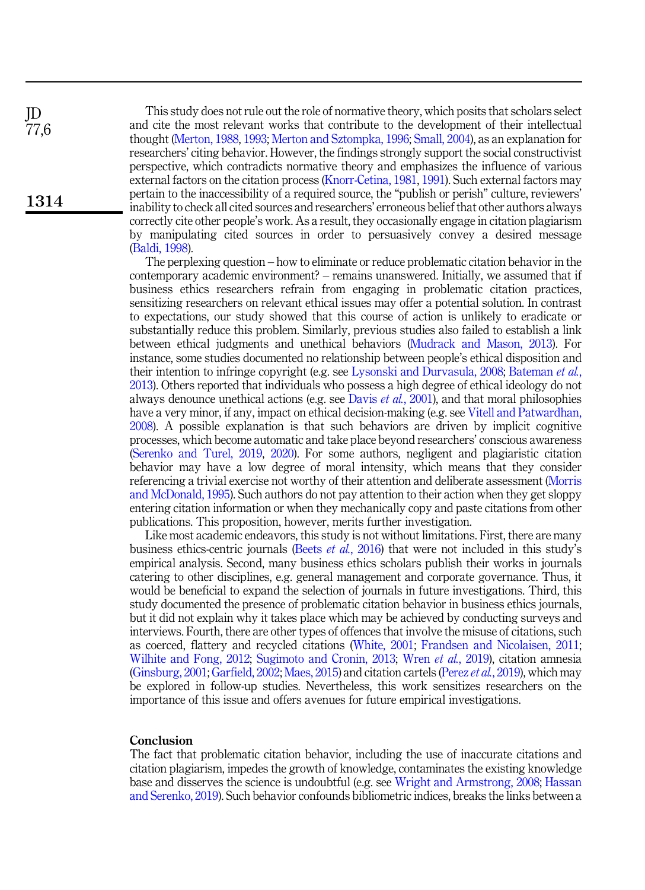This study does not rule out the role of normative theory, which posits that scholars select and cite the most relevant works that contribute to the development of their intellectual thought ([Merton, 1988,](#page-14-10) [1993](#page-14-11); [Merton and Sztompka, 1996](#page-14-12); [Small, 2004\)](#page-15-5), as an explanation for researchers' citing behavior. However, the findings strongly support the social constructivist perspective, which contradicts normative theory and emphasizes the influence of various external factors on the citation process [\(Knorr-Cetina, 1981](#page-13-7), [1991\)](#page-13-8). Such external factors may pertain to the inaccessibility of a required source, the "publish or perish" culture, reviewers' inability to check all cited sources and researchers' erroneous belief that other authors always correctly cite other people's work. As a result, they occasionally engage in citation plagiarism by manipulating cited sources in order to persuasively convey a desired message ([Baldi, 1998\)](#page-11-3).

The perplexing question – how to eliminate or reduce problematic citation behavior in the contemporary academic environment? – remains unanswered. Initially, we assumed that if business ethics researchers refrain from engaging in problematic citation practices, sensitizing researchers on relevant ethical issues may offer a potential solution. In contrast to expectations, our study showed that this course of action is unlikely to eradicate or substantially reduce this problem. Similarly, previous studies also failed to establish a link between ethical judgments and unethical behaviors [\(Mudrack and Mason, 2013\)](#page-14-19). For instance, some studies documented no relationship between people's ethical disposition and their intention to infringe copyright (e.g. see [Lysonski and Durvasula, 2008](#page-13-21); [Bateman](#page-11-11) et al., [2013\)](#page-11-11). Others reported that individuals who possess a high degree of ethical ideology do not always denounce unethical actions (e.g. see Davis  $et al., 2001$  $et al., 2001$ ), and that moral philosophies have a very minor, if any, impact on ethical decision-making (e.g. see [Vitell and Patwardhan,](#page-16-10) [2008\)](#page-16-10). A possible explanation is that such behaviors are driven by implicit cognitive processes, which become automatic and take place beyond researchers' conscious awareness ([Serenko and Turel, 2019,](#page-15-17) [2020\)](#page-15-18). For some authors, negligent and plagiaristic citation behavior may have a low degree of moral intensity, which means that they consider referencing a trivial exercise not worthy of their attention and deliberate assessment ([Morris](#page-14-20) [and McDonald, 1995\)](#page-14-20). Such authors do not pay attention to their action when they get sloppy entering citation information or when they mechanically copy and paste citations from other publications. This proposition, however, merits further investigation.

Like most academic endeavors, this study is not without limitations. First, there are many business ethics-centric journals (Beets *et al.*[, 2016](#page-11-6)) that were not included in this study's empirical analysis. Second, many business ethics scholars publish their works in journals catering to other disciplines, e.g. general management and corporate governance. Thus, it would be beneficial to expand the selection of journals in future investigations. Third, this study documented the presence of problematic citation behavior in business ethics journals, but it did not explain why it takes place which may be achieved by conducting surveys and interviews. Fourth, there are other types of offences that involve the misuse of citations, such as coerced, flattery and recycled citations [\(White, 2001;](#page-16-11) [Frandsen and Nicolaisen, 2011](#page-12-18); [Wilhite and Fong, 2012](#page-16-12); [Sugimoto and Cronin, 2013;](#page-15-19) Wren *et al.*[, 2019](#page-16-13)), citation amnesia ([Ginsburg, 2001;](#page-13-22) [Garfield, 2002](#page-12-19); [Maes, 2015\)](#page-14-21) and citation cartels (Perez et al.[, 2019\)](#page-14-22), which may be explored in follow-up studies. Nevertheless, this work sensitizes researchers on the importance of this issue and offers avenues for future empirical investigations.

#### Conclusion

The fact that problematic citation behavior, including the use of inaccurate citations and citation plagiarism, impedes the growth of knowledge, contaminates the existing knowledge base and disserves the science is undoubtful (e.g. see [Wright and Armstrong, 2008;](#page-16-14) [Hassan](#page-13-1) [and Serenko, 2019](#page-13-1)). Such behavior confounds bibliometric indices, breaks the links between a

JD 77,6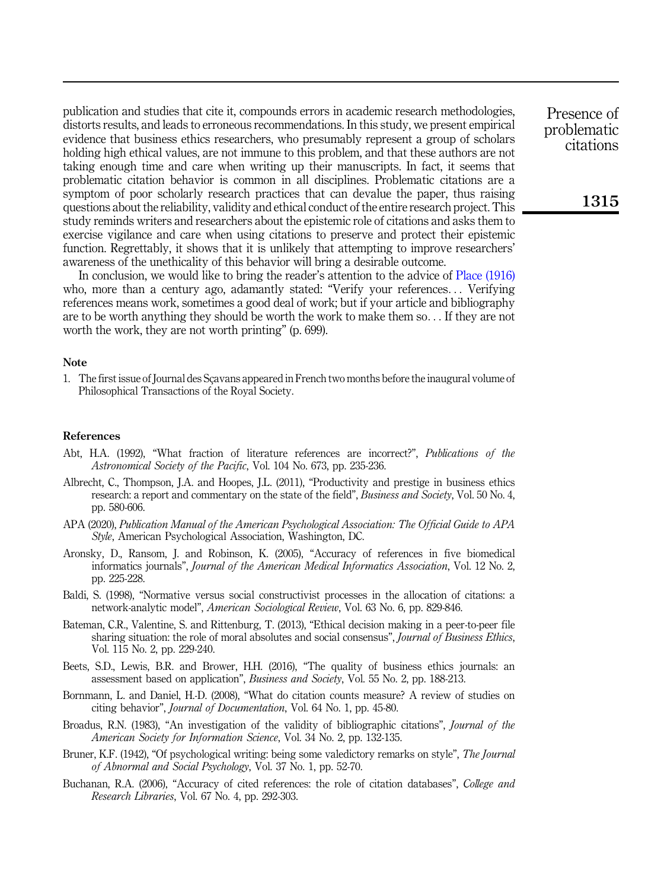publication and studies that cite it, compounds errors in academic research methodologies, distorts results, and leads to erroneous recommendations. In this study, we present empirical evidence that business ethics researchers, who presumably represent a group of scholars holding high ethical values, are not immune to this problem, and that these authors are not taking enough time and care when writing up their manuscripts. In fact, it seems that problematic citation behavior is common in all disciplines. Problematic citations are a symptom of poor scholarly research practices that can devalue the paper, thus raising questions about the reliability, validity and ethical conduct of the entire research project. This study reminds writers and researchers about the epistemic role of citations and asks them to exercise vigilance and care when using citations to preserve and protect their epistemic function. Regrettably, it shows that it is unlikely that attempting to improve researchers' awareness of the unethicality of this behavior will bring a desirable outcome.

In conclusion, we would like to bring the reader's attention to the advice of [Place \(1916\)](#page-14-23) who, more than a century ago, adamantly stated: "Verify your references... Verifying references means work, sometimes a good deal of work; but if your article and bibliography are to be worth anything they should be worth the work to make them so... If they are not worth the work, they are not worth printing" (p. 699).

#### **Note**

<span id="page-11-1"></span>1. The first issue of Journal des Sçavans appeared in French two months before the inaugural volume of Philosophical Transactions of the Royal Society.

#### <span id="page-11-9"></span>References

- Abt, H.A. (1992), "What fraction of literature references are incorrect?", Publications of the Astronomical Society of the Pacific, Vol. 104 No. 673, pp. 235-236.
- <span id="page-11-7"></span>Albrecht, C., Thompson, J.A. and Hoopes, J.L. (2011), "Productivity and prestige in business ethics research: a report and commentary on the state of the field", *Business and Society*, Vol. 50 No. 4, pp. 580-606.
- <span id="page-11-4"></span>APA (2020), Publication Manual of the American Psychological Association: The Official Guide to APA Style, American Psychological Association, Washington, DC.
- <span id="page-11-10"></span>Aronsky, D., Ransom, J. and Robinson, K. (2005), "Accuracy of references in five biomedical informatics journals", Journal of the American Medical Informatics Association, Vol. 12 No. 2, pp. 225-228.
- <span id="page-11-3"></span>Baldi, S. (1998), "Normative versus social constructivist processes in the allocation of citations: a network-analytic model", American Sociological Review, Vol. 63 No. 6, pp. 829-846.
- <span id="page-11-11"></span>Bateman, C.R., Valentine, S. and Rittenburg, T. (2013), "Ethical decision making in a peer-to-peer file sharing situation: the role of moral absolutes and social consensus", *Journal of Business Ethics*, Vol. 115 No. 2, pp. 229-240.
- <span id="page-11-6"></span>Beets, S.D., Lewis, B.R. and Brower, H.H. (2016), "The quality of business ethics journals: an assessment based on application", Business and Society, Vol. 55 No. 2, pp. 188-213.
- <span id="page-11-2"></span>Bornmann, L. and Daniel, H.-D. (2008), "What do citation counts measure? A review of studies on citing behavior", Journal of Documentation, Vol. 64 No. 1, pp. 45-80.
- <span id="page-11-0"></span>Broadus, R.N. (1983), "An investigation of the validity of bibliographic citations", *Journal of the* American Society for Information Science, Vol. 34 No. 2, pp. 132-135.
- <span id="page-11-8"></span>Bruner, K.F. (1942), "Of psychological writing: being some valedictory remarks on style", The Journal of Abnormal and Social Psychology, Vol. 37 No. 1, pp. 52-70.
- <span id="page-11-5"></span>Buchanan, R.A. (2006), "Accuracy of cited references: the role of citation databases", College and Research Libraries, Vol. 67 No. 4, pp. 292-303.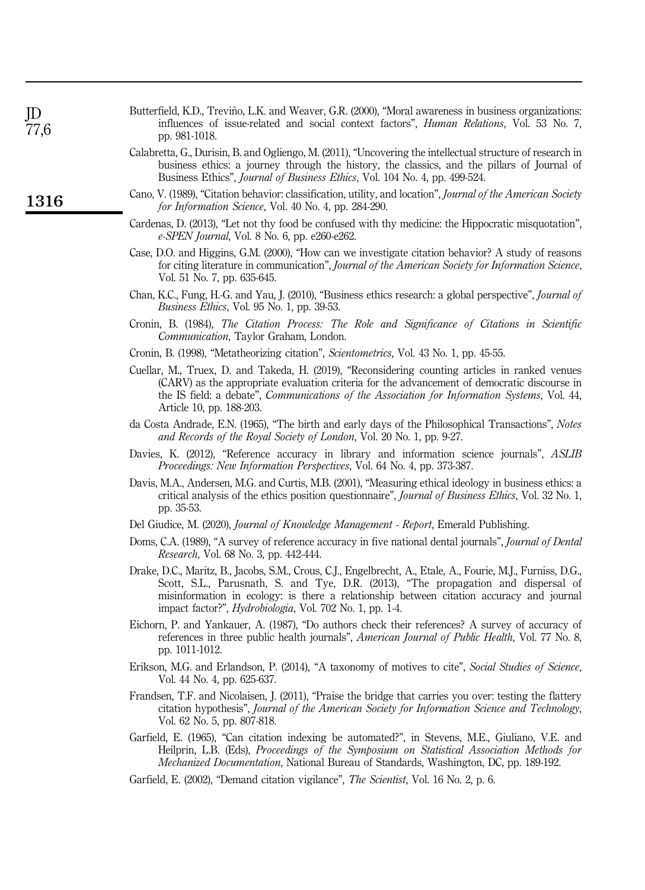<span id="page-12-14"></span>

| Butterfield, K.D., Treviño, L.K. and Weaver, G.R. (2000), "Moral awareness in business organizations: |                                                                                                  |  |  |  |  |  |
|-------------------------------------------------------------------------------------------------------|--------------------------------------------------------------------------------------------------|--|--|--|--|--|
|                                                                                                       | influences of issue-related and social context factors", <i>Human Relations</i> , Vol. 53 No. 7, |  |  |  |  |  |
| pp. 981-1018.                                                                                         |                                                                                                  |  |  |  |  |  |

- <span id="page-12-13"></span>Calabretta, G., Durisin, B. and Ogliengo, M. (2011), "Uncovering the intellectual structure of research in business ethics: a journey through the history, the classics, and the pillars of Journal of Business Ethics", Journal of Business Ethics, Vol. 104 No. 4, pp. 499-524.
- <span id="page-12-5"></span>Cano, V. (1989), "Citation behavior: classification, utility, and location", Journal of the American Society for Information Science, Vol. 40 No. 4, pp. 284-290.
- <span id="page-12-11"></span>Cardenas, D. (2013), "Let not thy food be confused with thy medicine: the Hippocratic misquotation", e-SPEN Journal, Vol. 8 No. 6, pp. e260-e262.
- <span id="page-12-6"></span>Case, D.O. and Higgins, G.M. (2000), "How can we investigate citation behavior? A study of reasons for citing literature in communication", Journal of the American Society for Information Science, Vol. 51 No. 7, pp. 635-645.
- <span id="page-12-12"></span>Chan, K.C., Fung, H.-G. and Yau, J. (2010), "Business ethics research: a global perspective", Journal of Business Ethics, Vol. 95 No. 1, pp. 39-53.
- <span id="page-12-1"></span>Cronin, B. (1984), The Citation Process: The Role and Significance of Citations in Scientific Communication, Taylor Graham, London.
- <span id="page-12-3"></span>Cronin, B. (1998), "Metatheorizing citation", Scientometrics, Vol. 43 No. 1, pp. 45-55.
- <span id="page-12-8"></span>Cuellar, M., Truex, D. and Takeda, H. (2019), "Reconsidering counting articles in ranked venues (CARV) as the appropriate evaluation criteria for the advancement of democratic discourse in the IS field: a debate", Communications of the Association for Information Systems, Vol. 44, Article 10, pp. 188-203.
- <span id="page-12-2"></span>da Costa Andrade, E.N. (1965), "The birth and early days of the Philosophical Transactions", Notes and Records of the Royal Society of London, Vol. 20 No. 1, pp. 9-27.
- <span id="page-12-10"></span>Davies, K. (2012), "Reference accuracy in library and information science journals", ASLIB Proceedings: New Information Perspectives, Vol. 64 No. 4, pp. 373-387.
- <span id="page-12-17"></span>Davis, M.A., Andersen, M.G. and Curtis, M.B. (2001), "Measuring ethical ideology in business ethics: a critical analysis of the ethics position questionnaire", Journal of Business Ethics, Vol. 32 No. 1, pp. 35-53.
- <span id="page-12-9"></span>Del Giudice, M. (2020), *Journal of Knowledge Management - Report*, Emerald Publishing.
- <span id="page-12-16"></span>Doms, C.A. (1989), "A survey of reference accuracy in five national dental journals", *Journal of Dental* Research, Vol. 68 No. 3, pp. 442-444.
- <span id="page-12-0"></span>Drake, D.C., Maritz, B., Jacobs, S.M., Crous, C.J., Engelbrecht, A., Etale, A., Fourie, M.J., Furniss, D.G., Scott, S.L., Parusnath, S. and Tye, D.R. (2013), "The propagation and dispersal of misinformation in ecology: is there a relationship between citation accuracy and journal impact factor?", Hydrobiologia, Vol. 702 No. 1, pp. 1-4.
- <span id="page-12-15"></span>Eichorn, P. and Yankauer, A. (1987), "Do authors check their references? A survey of accuracy of references in three public health journals", American Journal of Public Health, Vol. 77 No. 8, pp. 1011-1012.
- <span id="page-12-7"></span>Erikson, M.G. and Erlandson, P. (2014), "A taxonomy of motives to cite", Social Studies of Science, Vol. 44 No. 4, pp. 625-637.
- <span id="page-12-18"></span>Frandsen, T.F. and Nicolaisen, J. (2011), "Praise the bridge that carries you over: testing the flattery citation hypothesis", Journal of the American Society for Information Science and Technology, Vol. 62 No. 5, pp. 807-818.
- <span id="page-12-4"></span>Garfield, E. (1965), "Can citation indexing be automated?", in Stevens, M.E., Giuliano, V.E. and Heilprin, L.B. (Eds), Proceedings of the Symposium on Statistical Association Methods for Mechanized Documentation, National Bureau of Standards, Washington, DC, pp. 189-192.
- <span id="page-12-19"></span>Garfield, E. (2002), "Demand citation vigilance", The Scientist, Vol. 16 No. 2, p. 6.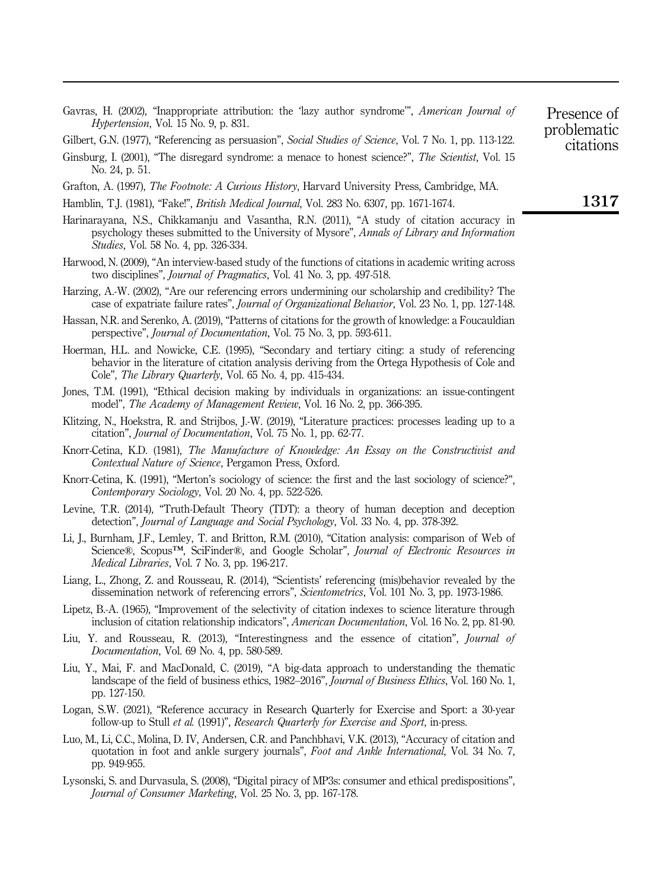- <span id="page-13-13"></span>Gavras, H. (2002), "Inappropriate attribution: the 'lazy author syndrome'", American Journal of Hypertension, Vol. 15 No. 9, p. 831.
- <span id="page-13-9"></span>Gilbert, G.N. (1977), "Referencing as persuasion", Social Studies of Science, Vol. 7 No. 1, pp. 113-122.
- <span id="page-13-22"></span>Ginsburg, I. (2001), "The disregard syndrome: a menace to honest science?", The Scientist, Vol. 15 No. 24, p. 51.
- <span id="page-13-4"></span>Grafton, A. (1997), The Footnote: A Curious History, Harvard University Press, Cambridge, MA.
- <span id="page-13-16"></span>Hamblin, T.J. (1981), "Fake!", British Medical Journal, Vol. 283 No. 6307, pp. 1671-1674.
- <span id="page-13-20"></span>Harinarayana, N.S., Chikkamanju and Vasantha, R.N. (2011), "A study of citation accuracy in psychology theses submitted to the University of Mysore", Annals of Library and Information Studies, Vol. 58 No. 4, pp. 326-334.
- <span id="page-13-6"></span>Harwood, N. (2009), "An interview-based study of the functions of citations in academic writing across two disciplines", Journal of Pragmatics, Vol. 41 No. 3, pp. 497-518.
- <span id="page-13-0"></span>Harzing, A.-W. (2002), "Are our referencing errors undermining our scholarship and credibility? The case of expatriate failure rates", Journal of Organizational Behavior, Vol. 23 No. 1, pp. 127-148.
- <span id="page-13-1"></span>Hassan, N.R. and Serenko, A. (2019), "Patterns of citations for the growth of knowledge: a Foucauldian perspective", Journal of Documentation, Vol. 75 No. 3, pp. 593-611.
- <span id="page-13-12"></span>Hoerman, H.L. and Nowicke, C.E. (1995), "Secondary and tertiary citing: a study of referencing behavior in the literature of citation analysis deriving from the Ortega Hypothesis of Cole and Cole", The Library Quarterly, Vol. 65 No. 4, pp. 415-434.
- <span id="page-13-18"></span>Jones, T.M. (1991), "Ethical decision making by individuals in organizations: an issue-contingent model", The Academy of Management Review, Vol. 16 No. 2, pp. 366-395.
- <span id="page-13-2"></span>Klitzing, N., Hoekstra, R. and Strijbos, J.-W. (2019), "Literature practices: processes leading up to a citation", Journal of Documentation, Vol. 75 No. 1, pp. 62-77.
- <span id="page-13-7"></span>Knorr-Cetina, K.D. (1981), The Manufacture of Knowledge: An Essay on the Constructivist and Contextual Nature of Science, Pergamon Press, Oxford.
- <span id="page-13-8"></span>Knorr-Cetina, K. (1991), "Merton's sociology of science: the first and the last sociology of science?", Contemporary Sociology, Vol. 20 No. 4, pp. 522-526.
- <span id="page-13-14"></span>Levine, T.R. (2014), "Truth-Default Theory (TDT): a theory of human deception and deception detection", Journal of Language and Social Psychology, Vol. 33 No. 4, pp. 378-392.
- <span id="page-13-15"></span>Li, J., Burnham, J.F., Lemley, T. and Britton, R.M. (2010), "Citation analysis: comparison of Web of Science®, Scopus™, SciFinder®, and Google Scholar", Journal of Electronic Resources in Medical Libraries, Vol. 7 No. 3, pp. 196-217.
- <span id="page-13-11"></span>Liang, L., Zhong, Z. and Rousseau, R. (2014), "Scientists' referencing (mis)behavior revealed by the dissemination network of referencing errors", Scientometrics, Vol. 101 No. 3, pp. 1973-1986.
- <span id="page-13-5"></span>Lipetz, B.-A. (1965), "Improvement of the selectivity of citation indexes to science literature through inclusion of citation relationship indicators", American Documentation, Vol. 16 No. 2, pp. 81-90.
- <span id="page-13-10"></span>Liu, Y. and Rousseau, R. (2013), "Interestingness and the essence of citation", Journal of Documentation, Vol. 69 No. 4, pp. 580-589.
- <span id="page-13-17"></span>Liu, Y., Mai, F. and MacDonald, C. (2019), "A big-data approach to understanding the thematic landscape of the field of business ethics, 1982–2016", *Journal of Business Ethics*, Vol. 160 No. 1, pp. 127-150.
- <span id="page-13-3"></span>Logan, S.W. (2021), "Reference accuracy in Research Quarterly for Exercise and Sport: a 30-year follow-up to Stull et al. (1991)", Research Quarterly for Exercise and Sport, in-press.
- <span id="page-13-19"></span>Luo, M., Li, C.C., Molina, D. IV, Andersen, C.R. and Panchbhavi, V.K. (2013), "Accuracy of citation and quotation in foot and ankle surgery journals", Foot and Ankle International, Vol. 34 No. 7, pp. 949-955.
- <span id="page-13-21"></span>Lysonski, S. and Durvasula, S. (2008), "Digital piracy of MP3s: consumer and ethical predispositions", Journal of Consumer Marketing, Vol. 25 No. 3, pp. 167-178.

problematic citations

Presence of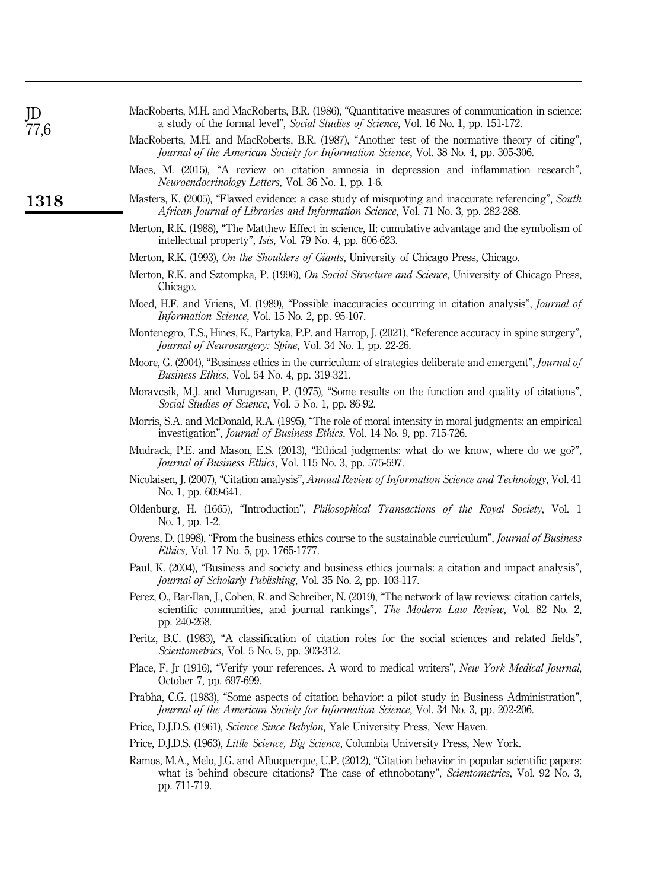<span id="page-14-23"></span><span id="page-14-22"></span><span id="page-14-21"></span><span id="page-14-20"></span><span id="page-14-19"></span><span id="page-14-18"></span><span id="page-14-17"></span><span id="page-14-16"></span><span id="page-14-15"></span><span id="page-14-14"></span><span id="page-14-13"></span><span id="page-14-12"></span><span id="page-14-11"></span><span id="page-14-10"></span><span id="page-14-9"></span><span id="page-14-8"></span><span id="page-14-7"></span><span id="page-14-6"></span><span id="page-14-5"></span><span id="page-14-4"></span><span id="page-14-3"></span><span id="page-14-2"></span><span id="page-14-1"></span><span id="page-14-0"></span>

| JD<br>77,6 | MacRoberts, M.H. and MacRoberts, B.R. (1986), "Quantitative measures of communication in science:<br>a study of the formal level", Social Studies of Science, Vol. 16 No. 1, pp. 151-172.                            |
|------------|----------------------------------------------------------------------------------------------------------------------------------------------------------------------------------------------------------------------|
|            | MacRoberts, M.H. and MacRoberts, B.R. (1987), "Another test of the normative theory of citing",<br>Journal of the American Society for Information Science, Vol. 38 No. 4, pp. 305-306.                              |
|            | Maes, M. (2015), "A review on citation amnesia in depression and inflammation research",<br>Neuroendocrinology Letters, Vol. 36 No. 1, pp. 1-6.                                                                      |
| 1318       | Masters, K. (2005), "Flawed evidence: a case study of misquoting and inaccurate referencing", South<br>African Journal of Libraries and Information Science, Vol. 71 No. 3, pp. 282-288.                             |
|            | Merton, R.K. (1988), "The Matthew Effect in science, II: cumulative advantage and the symbolism of<br>intellectual property", Isis, Vol. 79 No. 4, pp. 606-623.                                                      |
|            | Merton, R.K. (1993), <i>On the Shoulders of Giants</i> , University of Chicago Press, Chicago.                                                                                                                       |
|            | Merton, R.K. and Sztompka, P. (1996), On Social Structure and Science, University of Chicago Press,<br>Chicago.                                                                                                      |
|            | Moed, H.F. and Vriens, M. (1989), "Possible inaccuracies occurring in citation analysis", <i>Journal of</i><br>Information Science, Vol. 15 No. 2, pp. 95-107.                                                       |
|            | Montenegro, T.S., Hines, K., Partyka, P.P. and Harrop, J. (2021), "Reference accuracy in spine surgery",<br>Journal of Neurosurgery: Spine, Vol. 34 No. 1, pp. 22-26.                                                |
|            | Moore, G. (2004), "Business ethics in the curriculum: of strategies deliberate and emergent", <i>Journal of</i><br><i>Business Ethics</i> , Vol. 54 No. 4, pp. 319-321.                                              |
|            | Moravcsik, M.J. and Murugesan, P. (1975), "Some results on the function and quality of citations",<br>Social Studies of Science, Vol. 5 No. 1, pp. 86-92.                                                            |
|            | Morris, S.A. and McDonald, R.A. (1995), "The role of moral intensity in moral judgments: an empirical<br>investigation", <i>Journal of Business Ethics</i> , Vol. 14 No. 9, pp. 715-726.                             |
|            | Mudrack, P.E. and Mason, E.S. (2013), "Ethical judgments: what do we know, where do we go?",<br>Journal of Business Ethics, Vol. 115 No. 3, pp. 575-597.                                                             |
|            | Nicolaisen, J. (2007), "Citation analysis", Annual Review of Information Science and Technology, Vol. 41<br>No. 1, pp. 609-641.                                                                                      |
|            | Oldenburg, H. (1665), "Introduction", <i>Philosophical Transactions of the Royal Society</i> , Vol. 1<br>No. 1, pp. 1-2.                                                                                             |
|            | Owens, D. (1998), "From the business ethics course to the sustainable curriculum", Journal of Business<br><i>Ethics</i> , Vol. 17 No. 5, pp. 1765-1777.                                                              |
|            | Paul, K. (2004), "Business and society and business ethics journals: a citation and impact analysis",<br>Journal of Scholarly Publishing, Vol. 35 No. 2, pp. 103-117.                                                |
|            | Perez, O., Bar-Ilan, J., Cohen, R. and Schreiber, N. (2019), "The network of law reviews: citation cartels,<br>scientific communities, and journal rankings", The Modern Law Review, Vol. 82 No. 2,<br>pp. 240-268.  |
|            | Peritz, B.C. (1983), "A classification of citation roles for the social sciences and related fields",<br>Scientometrics, Vol. 5 No. 5, pp. 303-312.                                                                  |
|            | Place, F. Jr (1916), "Verify your references. A word to medical writers", New York Medical Journal,<br>October 7, pp. 697-699.                                                                                       |
|            | Prabha, C.G. (1983), "Some aspects of citation behavior: a pilot study in Business Administration",<br>Journal of the American Society for Information Science, Vol. 34 No. 3, pp. 202-206.                          |
|            | Price, D.J.D.S. (1961), Science Since Babylon, Yale University Press, New Haven.                                                                                                                                     |
|            | Price, D.J.D.S. (1963), Little Science, Big Science, Columbia University Press, New York.                                                                                                                            |
|            | Ramos, M.A., Melo, J.G. and Albuquerque, U.P. (2012), "Citation behavior in popular scientific papers:<br>what is behind obscure citations? The case of ethnobotany", Scientometrics, Vol. 92 No. 3,<br>pp. 711-719. |
|            |                                                                                                                                                                                                                      |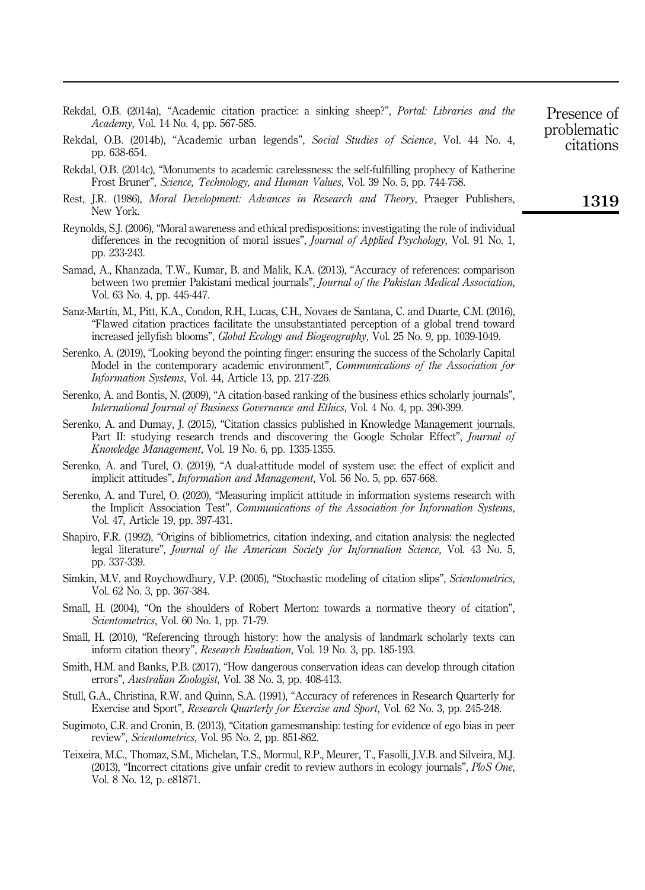<span id="page-15-7"></span>Rekdal, O.B. (2014a), "Academic citation practice: a sinking sheep?", Portal: Libraries and the Academy, Vol. 14 No. 4, pp. 567-585.

- <span id="page-15-11"></span>Rekdal, O.B. (2014b), "Academic urban legends", Social Studies of Science, Vol. 44 No. 4, pp. 638-654.
- <span id="page-15-15"></span>Rekdal, O.B. (2014c), "Monuments to academic carelessness: the self-fulfilling prophecy of Katherine Frost Bruner", Science, Technology, and Human Values, Vol. 39 No. 5, pp. 744-758.
- <span id="page-15-13"></span>Rest, J.R. (1986), *Moral Development: Advances in Research and Theory*, Praeger Publishers, New York.
- <span id="page-15-14"></span>Reynolds, S.J. (2006), "Moral awareness and ethical predispositions: investigating the role of individual differences in the recognition of moral issues", *Journal of Applied Psychology*, Vol. 91 No. 1, pp. 233-243.
- <span id="page-15-16"></span>Samad, A., Khanzada, T.W., Kumar, B. and Malik, K.A. (2013), "Accuracy of references: comparison between two premier Pakistani medical journals", Journal of the Pakistan Medical Association, Vol. 63 No. 4, pp. 445-447.
- <span id="page-15-1"></span>Sanz-Martın, M., Pitt, K.A., Condon, R.H., Lucas, C.H., Novaes de Santana, C. and Duarte, C.M. (2016), "Flawed citation practices facilitate the unsubstantiated perception of a global trend toward increased jellyfish blooms", Global Ecology and Biogeography, Vol. 25 No. 9, pp. 1039-1049.
- <span id="page-15-9"></span>Serenko, A. (2019), "Looking beyond the pointing finger: ensuring the success of the Scholarly Capital Model in the contemporary academic environment", Communications of the Association for Information Systems, Vol. 44, Article 13, pp. 217-226.
- <span id="page-15-12"></span>Serenko, A. and Bontis, N. (2009), "A citation-based ranking of the business ethics scholarly journals", International Journal of Business Governance and Ethics, Vol. 4 No. 4, pp. 390-399.
- <span id="page-15-0"></span>Serenko, A. and Dumay, J. (2015), "Citation classics published in Knowledge Management journals. Part II: studying research trends and discovering the Google Scholar Effect", *Journal of* Knowledge Management, Vol. 19 No. 6, pp. 1335-1355.
- <span id="page-15-17"></span>Serenko, A. and Turel, O. (2019), "A dual-attitude model of system use: the effect of explicit and implicit attitudes", Information and Management, Vol. 56 No. 5, pp. 657-668.
- <span id="page-15-18"></span>Serenko, A. and Turel, O. (2020), "Measuring implicit attitude in information systems research with the Implicit Association Test", Communications of the Association for Information Systems, Vol. 47, Article 19, pp. 397-431.
- <span id="page-15-3"></span>Shapiro, F.R. (1992), "Origins of bibliometrics, citation indexing, and citation analysis: the neglected legal literature", Journal of the American Society for Information Science, Vol. 43 No. 5, pp. 337-339.
- <span id="page-15-8"></span>Simkin, M.V. and Roychowdhury, V.P. (2005), "Stochastic modeling of citation slips", Scientometrics, Vol. 62 No. 3, pp. 367-384.
- <span id="page-15-5"></span>Small, H. (2004), "On the shoulders of Robert Merton: towards a normative theory of citation", Scientometrics, Vol. 60 No. 1, pp. 71-79.
- <span id="page-15-4"></span>Small, H. (2010), "Referencing through history: how the analysis of landmark scholarly texts can inform citation theory", Research Evaluation, Vol. 19 No. 3, pp. 185-193.
- <span id="page-15-2"></span>Smith, H.M. and Banks, P.B. (2017), "How dangerous conservation ideas can develop through citation errors", Australian Zoologist, Vol. 38 No. 3, pp. 408-413.
- <span id="page-15-6"></span>Stull, G.A., Christina, R.W. and Quinn, S.A. (1991), "Accuracy of references in Research Quarterly for Exercise and Sport", Research Quarterly for Exercise and Sport, Vol. 62 No. 3, pp. 245-248.
- <span id="page-15-19"></span>Sugimoto, C.R. and Cronin, B. (2013), "Citation gamesmanship: testing for evidence of ego bias in peer review", Scientometrics, Vol. 95 No. 2, pp. 851-862.
- <span id="page-15-10"></span>Teixeira, M.C., Thomaz, S.M., Michelan, T.S., Mormul, R.P., Meurer, T., Fasolli, J.V.B. and Silveira, M.J. (2013), "Incorrect citations give unfair credit to review authors in ecology journals", *PloS One*, Vol. 8 No. 12, p. e81871.

1319